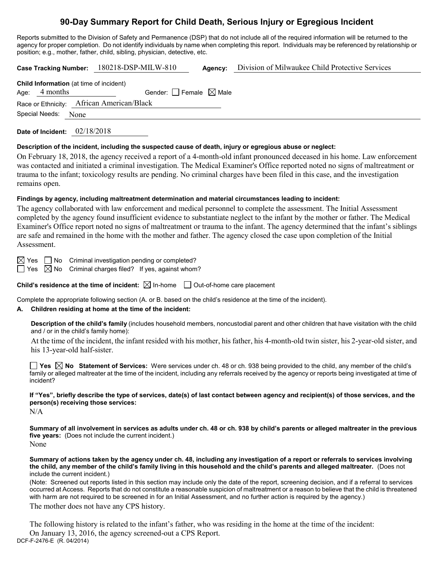# **90-Day Summary Report for Child Death, Serious Injury or Egregious Incident**

Reports submitted to the Division of Safety and Permanence (DSP) that do not include all of the required information will be returned to the agency for proper completion. Do not identify individuals by name when completing this report. Individuals may be referenced by relationship or position; e.g., mother, father, child, sibling, physician, detective, etc.

|                                                                   | Case Tracking Number: 180218-DSP-MILW-810 | Agency: | Division of Milwaukee Child Protective Services |
|-------------------------------------------------------------------|-------------------------------------------|---------|-------------------------------------------------|
| <b>Child Information</b> (at time of incident)<br>Age: $4$ months | Gender: $\Box$ Female $\boxtimes$ Male    |         |                                                 |
|                                                                   | Race or Ethnicity: African American/Black |         |                                                 |
| Special Needs: None                                               |                                           |         |                                                 |
|                                                                   |                                           |         |                                                 |

**Date of Incident:** 02/18/2018

#### **Description of the incident, including the suspected cause of death, injury or egregious abuse or neglect:**

On February 18, 2018, the agency received a report of a 4-month-old infant pronounced deceased in his home. Law enforcement was contacted and initiated a criminal investigation. The Medical Examiner's Office reported noted no signs of maltreatment or trauma to the infant; toxicology results are pending. No criminal charges have been filed in this case, and the investigation remains open.

### **Findings by agency, including maltreatment determination and material circumstances leading to incident:**

The agency collaborated with law enforcement and medical personnel to complete the assessment. The Initial Assessment completed by the agency found insufficient evidence to substantiate neglect to the infant by the mother or father. The Medical Examiner's Office report noted no signs of maltreatment or trauma to the infant. The agency determined that the infant's siblings are safe and remained in the home with the mother and father. The agency closed the case upon completion of the Initial Assessment.

 $\boxtimes$  Yes  $\Box$  No Criminal investigation pending or completed?

 $\Box$  Yes  $\boxtimes$  No  $\,$  Criminal charges filed? If yes, against whom?

**Child's residence at the time of incident:**  $\boxtimes$  In-home  $\Box$  Out-of-home care placement

Complete the appropriate following section (A. or B. based on the child's residence at the time of the incident).

## **A. Children residing at home at the time of the incident:**

**Description of the child's family** (includes household members, noncustodial parent and other children that have visitation with the child and / or in the child's family home):

At the time of the incident, the infant resided with his mother, his father, his 4-month-old twin sister, his 2-year-old sister, and his 13-year-old half-sister.

**Yes No Statement of Services:** Were services under ch. 48 or ch. 938 being provided to the child, any member of the child's family or alleged maltreater at the time of the incident, including any referrals received by the agency or reports being investigated at time of incident?

**If "Yes", briefly describe the type of services, date(s) of last contact between agency and recipient(s) of those services, and the person(s) receiving those services:**

 $N/A$ 

**Summary of all involvement in services as adults under ch. 48 or ch. 938 by child's parents or alleged maltreater in the previous five years:** (Does not include the current incident.) None

**Summary of actions taken by the agency under ch. 48, including any investigation of a report or referrals to services involving the child, any member of the child's family living in this household and the child's parents and alleged maltreater.** (Does not include the current incident.)

(Note: Screened out reports listed in this section may include only the date of the report, screening decision, and if a referral to services occurred at Access. Reports that do not constitute a reasonable suspicion of maltreatment or a reason to believe that the child is threatened with harm are not required to be screened in for an Initial Assessment, and no further action is required by the agency.)

The mother does not have any CPS history.

DCF-F-2476-E (R. 04/2014) The following history is related to the infant's father, who was residing in the home at the time of the incident: On January 13, 2016, the agency screened-out a CPS Report.